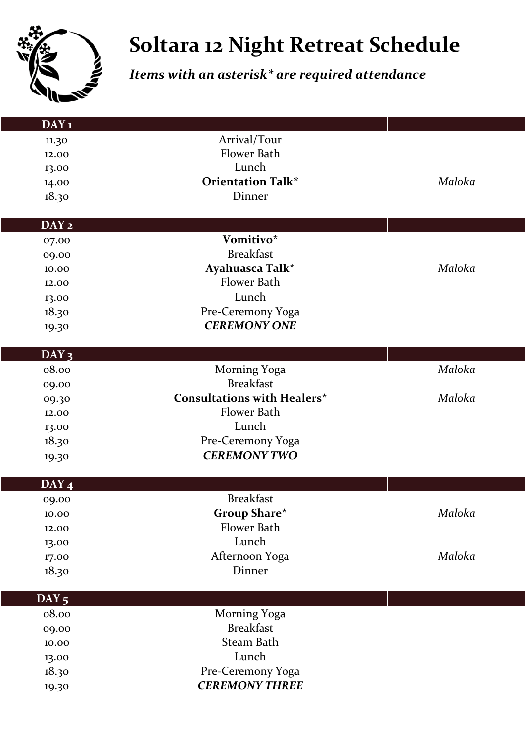

## **Soltara 12 Night Retreat Schedule**

## *Items with an asterisk\* are required attendance*

| <b>DAY</b> 1     |                                    |        |
|------------------|------------------------------------|--------|
| 11.30            | Arrival/Tour                       |        |
| 12.00            | Flower Bath                        |        |
| 13.00            | Lunch                              |        |
| 14.00            | <b>Orientation Talk*</b>           | Maloka |
| 18.30            | Dinner                             |        |
|                  |                                    |        |
| DAY <sub>2</sub> |                                    |        |
| 07.00            | Vomitivo*                          |        |
| 09.00            | <b>Breakfast</b>                   |        |
| 10.00            | Ayahuasca Talk*                    | Maloka |
| 12.00            | Flower Bath                        |        |
| 13.00            | Lunch                              |        |
| 18.30            | Pre-Ceremony Yoga                  |        |
| 19.30            | <b>CEREMONY ONE</b>                |        |
|                  |                                    |        |
| $DAY_3$<br>08.00 | Morning Yoga                       | Maloka |
|                  | <b>Breakfast</b>                   |        |
| 09.00            | <b>Consultations with Healers*</b> | Maloka |
| 09.30<br>12.00   | Flower Bath                        |        |
| 13.00            | Lunch                              |        |
| 18.30            | Pre-Ceremony Yoga                  |        |
|                  | <b>CEREMONY TWO</b>                |        |
| 19.30            |                                    |        |
| $DAY_4$          |                                    |        |
| 09.00            | <b>Breakfast</b>                   |        |
| $10.00\,$        | <b>Group Share*</b>                | Maloka |
| 12.00            | Flower Bath                        |        |
| 13.00            | Lunch                              |        |
| 17.00            | Afternoon Yoga                     | Maloka |
| 18.30            | Dinner                             |        |
|                  |                                    |        |
| $DAY_5$          |                                    |        |
| 08.00            | Morning Yoga<br><b>Breakfast</b>   |        |
| 09.00            |                                    |        |
| 10.00            | Steam Bath                         |        |
| 13.00            | Lunch                              |        |
| 18.30            | Pre-Ceremony Yoga                  |        |
| 19.30            | <b>CEREMONY THREE</b>              |        |
|                  |                                    |        |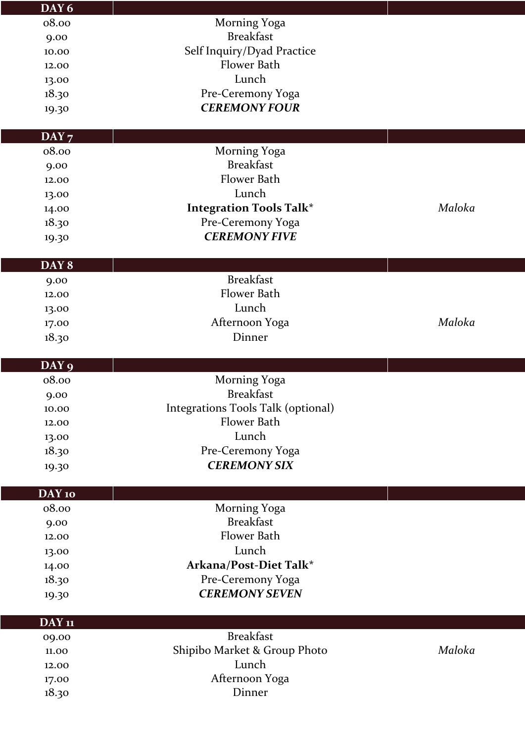| DAY 6          |                                    |        |
|----------------|------------------------------------|--------|
| 08.00          | Morning Yoga                       |        |
| 9.00           | <b>Breakfast</b>                   |        |
| 10.00          | Self Inquiry/Dyad Practice         |        |
| 12.00          | Flower Bath                        |        |
| 13.00          | Lunch                              |        |
| 18.30          | Pre-Ceremony Yoga                  |        |
| 19.30          | <b>CEREMONY FOUR</b>               |        |
|                |                                    |        |
| $DAY_7$        |                                    |        |
| 08.00          | Morning Yoga                       |        |
| 9.00           | <b>Breakfast</b>                   |        |
| 12.00          | Flower Bath                        |        |
| 13.00          | Lunch                              |        |
| 14.00          | <b>Integration Tools Talk*</b>     | Maloka |
| 18.30          | Pre-Ceremony Yoga                  |        |
| 19.30          | <b>CEREMONY FIVE</b>               |        |
|                |                                    |        |
| DAY 8          |                                    |        |
| 9.00           | <b>Breakfast</b>                   |        |
| 12.00          | Flower Bath                        |        |
| 13.00          | Lunch                              |        |
| 17.00          | Afternoon Yoga                     | Maloka |
| 18.30          | Dinner                             |        |
|                |                                    |        |
|                |                                    |        |
| DAY 9          |                                    |        |
| 08.00          | Morning Yoga                       |        |
| 9.00           | <b>Breakfast</b>                   |        |
| 10.00          | Integrations Tools Talk (optional) |        |
| 12.00          | Flower Bath                        |        |
| 13.00          | Lunch                              |        |
| 18.30          | Pre-Ceremony Yoga                  |        |
| 19.30          | <b>CEREMONY SIX</b>                |        |
|                |                                    |        |
| DAY 10         |                                    |        |
| 08.00          | Morning Yoga                       |        |
| 9.00           | <b>Breakfast</b>                   |        |
| 12.00          | Flower Bath                        |        |
| 13.00          | Lunch                              |        |
| 14.00          | Arkana/Post-Diet Talk*             |        |
| 18.30          | Pre-Ceremony Yoga                  |        |
| 19.30          | <b>CEREMONY SEVEN</b>              |        |
|                |                                    |        |
| <b>DAY</b> 11  |                                    |        |
| 09.00          | <b>Breakfast</b>                   |        |
| 11.00          | Shipibo Market & Group Photo       | Maloka |
| 12.00          | Lunch                              |        |
| 17.00<br>18.30 | Afternoon Yoga<br>Dinner           |        |